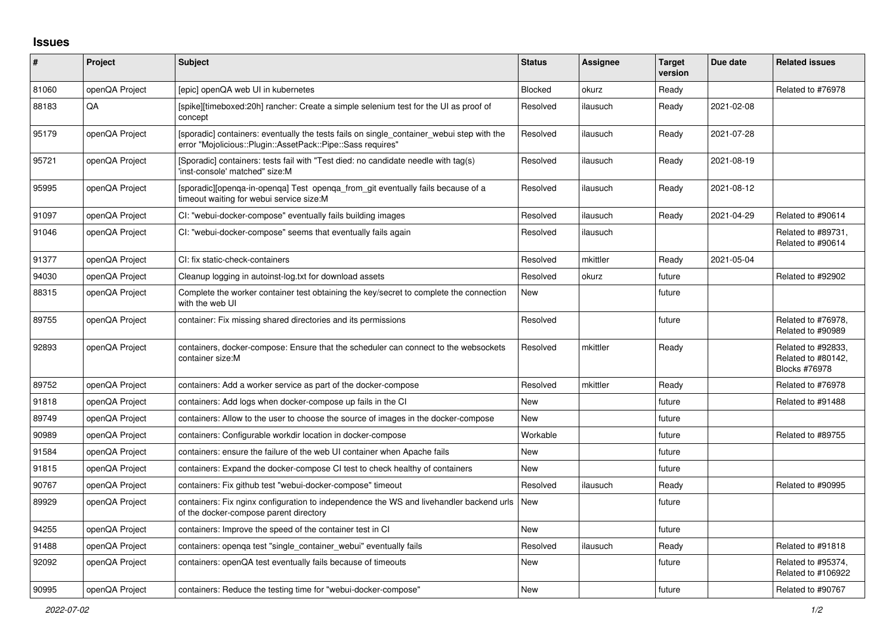## **Issues**

| #     | Project        | <b>Subject</b>                                                                                                                                           | <b>Status</b> | <b>Assignee</b> | <b>Target</b><br>version | Due date   | <b>Related issues</b>                                            |
|-------|----------------|----------------------------------------------------------------------------------------------------------------------------------------------------------|---------------|-----------------|--------------------------|------------|------------------------------------------------------------------|
| 81060 | openQA Project | Tepic] openQA web UI in kubernetes                                                                                                                       | Blocked       | okurz           | Ready                    |            | Related to #76978                                                |
| 88183 | QA             | [spike][timeboxed:20h] rancher: Create a simple selenium test for the UI as proof of<br>concept                                                          | Resolved      | ilausuch        | Ready                    | 2021-02-08 |                                                                  |
| 95179 | openQA Project | [sporadic] containers: eventually the tests fails on single container webui step with the<br>error "Mojolicious::Plugin::AssetPack::Pipe::Sass requires" | Resolved      | ilausuch        | Ready                    | 2021-07-28 |                                                                  |
| 95721 | openQA Project | [Sporadic] containers: tests fail with "Test died: no candidate needle with tag(s)<br>'inst-console' matched" size:M                                     | Resolved      | ilausuch        | Ready                    | 2021-08-19 |                                                                  |
| 95995 | openQA Project | [sporadic][openga-in-openga] Test openga from git eventually fails because of a<br>timeout waiting for webui service size:M                              | Resolved      | ilausuch        | Ready                    | 2021-08-12 |                                                                  |
| 91097 | openQA Project | CI: "webui-docker-compose" eventually fails building images                                                                                              | Resolved      | ilausuch        | Ready                    | 2021-04-29 | Related to #90614                                                |
| 91046 | openQA Project | CI: "webui-docker-compose" seems that eventually fails again                                                                                             | Resolved      | ilausuch        |                          |            | Related to #89731,<br>Related to #90614                          |
| 91377 | openQA Project | CI: fix static-check-containers                                                                                                                          | Resolved      | mkittler        | Ready                    | 2021-05-04 |                                                                  |
| 94030 | openQA Project | Cleanup logging in autoinst-log.txt for download assets                                                                                                  | Resolved      | okurz           | future                   |            | Related to #92902                                                |
| 88315 | openQA Project | Complete the worker container test obtaining the key/secret to complete the connection<br>with the web UI                                                | <b>New</b>    |                 | future                   |            |                                                                  |
| 89755 | openQA Project | container: Fix missing shared directories and its permissions                                                                                            | Resolved      |                 | future                   |            | Related to #76978,<br>Related to #90989                          |
| 92893 | openQA Project | containers, docker-compose: Ensure that the scheduler can connect to the websockets<br>container size:M                                                  | Resolved      | mkittler        | Ready                    |            | Related to #92833,<br>Related to #80142,<br><b>Blocks #76978</b> |
| 89752 | openQA Project | containers: Add a worker service as part of the docker-compose                                                                                           | Resolved      | mkittler        | Ready                    |            | Related to #76978                                                |
| 91818 | openQA Project | containers: Add logs when docker-compose up fails in the CI                                                                                              | New           |                 | future                   |            | Related to #91488                                                |
| 89749 | openQA Project | containers: Allow to the user to choose the source of images in the docker-compose                                                                       | New           |                 | future                   |            |                                                                  |
| 90989 | openQA Project | containers: Configurable workdir location in docker-compose                                                                                              | Workable      |                 | future                   |            | Related to #89755                                                |
| 91584 | openQA Project | containers: ensure the failure of the web UI container when Apache fails                                                                                 | New           |                 | future                   |            |                                                                  |
| 91815 | openQA Project | containers: Expand the docker-compose CI test to check healthy of containers                                                                             | <b>New</b>    |                 | future                   |            |                                                                  |
| 90767 | openQA Project | containers: Fix github test "webui-docker-compose" timeout                                                                                               | Resolved      | ilausuch        | Ready                    |            | Related to #90995                                                |
| 89929 | openQA Project | containers: Fix nginx configuration to independence the WS and livehandler backend urls<br>of the docker-compose parent directory                        | New           |                 | future                   |            |                                                                  |
| 94255 | openQA Project | containers: Improve the speed of the container test in CI                                                                                                | <b>New</b>    |                 | future                   |            |                                                                  |
| 91488 | openQA Project | containers: openga test "single container webui" eventually fails                                                                                        | Resolved      | ilausuch        | Ready                    |            | Related to #91818                                                |
| 92092 | openQA Project | containers: openQA test eventually fails because of timeouts                                                                                             | New           |                 | future                   |            | Related to #95374,<br>Related to #106922                         |
| 90995 | openQA Project | containers: Reduce the testing time for "webui-docker-compose"                                                                                           | <b>New</b>    |                 | future                   |            | Related to #90767                                                |